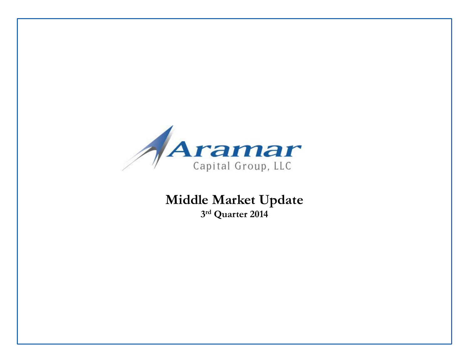

### **Middle Market Update 3rd Quarter 2014**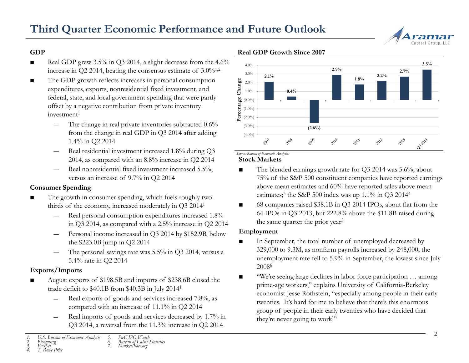

### **GDP**

- Real GDP grew 3.5% in Q3 2014, a slight decrease from the 4.6% increase in Q2 2014, beating the consensus estimate of  $3.0\%^{1,2}$
- The GDP growth reflects increases in personal consumption expenditures, exports, nonresidential fixed investment, and federal, state, and local government spending that were partly offset by a negative contribution from private inventory  $investment<sup>1</sup>$ 
	- The change in real private inventories subtracted  $0.6\%$ from the change in real GDP in Q3 2014 after adding 1.4% in Q2 2014
	- ― Real residential investment increased 1.8% during Q3 2014, as compared with an 8.8% increase in Q2 2014
	- Real nonresidential fixed investment increased 5.5%, versus an increase of 9.7% in Q2 2014

### **Consumer Spending**

- The growth in consumer spending, which fuels roughly twothirds of the economy, increased moderately in Q3 20141
	- ― Real personal consumption expenditures increased 1.8% in Q3 2014, as compared with a 2.5% increase in Q2 2014
	- ― Personal income increased in Q3 2014 by \$152.9B, below the \$223.0B jump in Q2 2014
	- The personal savings rate was  $5.5\%$  in Q3 2014, versus a 5.4% rate in Q2 2014

### **Exports/Imports**

- August exports of \$198.5B and imports of \$238.6B closed the trade deficit to \$40.1B from \$40.3B in July 20141
	- Real exports of goods and services increased 7.8%, as compared with an increase of 11.1% in Q2 2014
	- ― Real imports of goods and services decreased by 1.7% in Q3 2014, a reversal from the 11.3% increase in Q2 2014

### *1. U.S. Bureau of Economic Analysis 2. Bloomberg 3. FactSet 5. PwC IPO Watch 6. Bureau of Labor Statistics 7. MarketPlace.org*



*4. T. Rowe Price*

### **Real GDP Growth Since 2007**



*Source: Bureau of Economic Analysis.*

### **Stock Markets**

- The blended earnings growth rate for Q3 2014 was 5.6%; about 75% of the S&P 500 constituent companies have reported earnings above mean estimates and 60% have reported sales above mean estimates;<sup>3</sup> the S&P 500 index was up  $1.1\%$  in Q3 2014<sup>4</sup>
- 68 companies raised \$38.1B in Q3 2014 IPOs, about flat from the 64 IPOs in Q3 2013, but 222.8% above the \$11.8B raised during the same quarter the prior year<sup>5</sup>

### **Employment**

- In September, the total number of unemployed decreased by 329,000 to 9.3M, as nonfarm payrolls increased by 248,000; the unemployment rate fell to 5.9% in September, the lowest since July 20086
- "We're seeing large declines in labor force participation ... among prime-age workers," explains University of California-Berkeley economist Jesse Rothstein, "especially among people in their early twenties. It's hard for me to believe that there's this enormous group of people in their early twenties who have decided that they're never going to work"7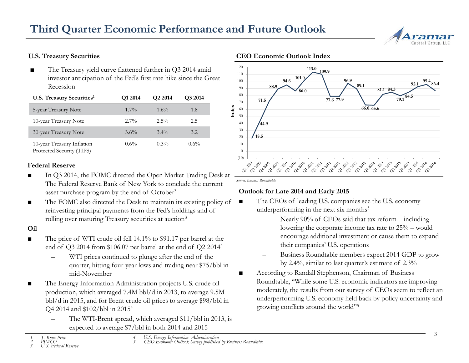## **Third Quarter Economic Performance and Future Outlook**



### **U.S. Treasury Securities**

■ The Treasury yield curve flattened further in Q3 2014 amid investor anticipation of the Fed's first rate hike since the Great Recession

| U.S. Treasury Securities <sup>1</sup>                   | Q1 2014 | Q <sub>2</sub> 2014 | Q3 2014 |
|---------------------------------------------------------|---------|---------------------|---------|
| 5-year Treasury Note                                    | $1.7\%$ | $1.6\%$             | 1.8     |
| 10-year Treasury Note                                   | $2.7\%$ | $2.5\%$             | 2.5     |
| 30-year Treasury Note                                   | $3.6\%$ | $3.4\%$             | 3.2     |
| 10-year Treasury Inflation<br>Protected Security (TIPS) | $0.6\%$ | $0.3\%$             | $0.6\%$ |

#### **Federal Reserve**

- In Q3 2014, the FOMC directed the Open Market Trading Desk at The Federal Reserve Bank of New York to conclude the current asset purchase program by the end of October<sup>3</sup>
- The FOMC also directed the Desk to maintain its existing policy of reinvesting principal payments from the Fed's holdings and of rolling over maturing Treasury securities at auction<sup>3</sup>

### **Oil**

- The price of WTI crude oil fell 14.1% to \$91.17 per barrel at the end of Q3 2014 from \$106.07 per barrel at the end of Q2 20144
	- WTI prices continued to plunge after the end of the quarter, hitting four-year lows and trading near \$75/bbl in mid-November
- The Energy Information Administration projects U.S. crude oil production, which averaged 7.4M bbl/d in 2013, to average 9.5M bbl/d in 2015, and for Brent crude oil prices to average \$98/bbl in Q4 2014 and \$102/bbl in 20154
	- The WTI-Brent spread, which averaged \$11/bbl in 2013, is expected to average \$7/bbl in both 2014 and 2015

#### **CEO Economic Outlook Index**



*Source: Business Roundtable.*

### **Outlook for Late 2014 and Early 2015**

- The CEOs of leading U.S. companies see the U.S. economy underperforming in the next six months<sup>5</sup>
	- Nearly 90% of CEOs said that tax reform including lowering the corporate income tax rate to 25% – would encourage additional investment or cause them to expand their companies' U.S. operations
	- Business Roundtable members expect 2014 GDP to grow by 2.4%, similar to last quarter's estimate of 2.3%
- According to Randall Stephenson, Chairman of Business Roundtable, "While some U.S. economic indicators are improving moderately, the results from our survey of CEOs seem to reflect an underperforming U.S. economy held back by policy uncertainty and growing conflicts around the world"5

*4. U.S. Energy Information Administration 5. CEO Economic Outlook Survey published by Business Roundtable*

*<sup>1.</sup> T. Rowe Price 2. PIMCO*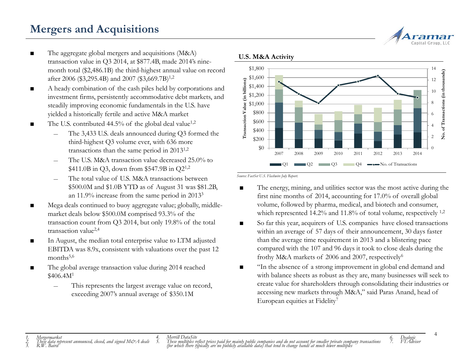## **Mergers and Acquisitions**

- The aggregate global mergers and acquisitions (M&A) transaction value in Q3 2014, at \$877.4B, made 2014's ninemonth total (\$2,486.1B) the third-highest annual value on record after 2006 (\$3,295.4B) and 2007 (\$3,669.7B)<sup>1,2</sup>
- A heady combination of the cash piles held by corporations and investment firms, persistently accommodative debt markets, and steadily improving economic fundamentals in the U.S. have yielded a historically fertile and active M&A market
- The U.S. contributed 44.5% of the global deal value<sup>1,2</sup>
	- ― The 3,433 U.S. deals announced during Q3 formed the third-highest Q3 volume ever, with 636 more transactions than the same period in 20131,2
	- ― The U.S. M&A transaction value decreased 25.0% to  $$411.0B$  in Q3, down from \$547.9B in Q2<sup>1,2</sup>
	- The total value of U.S. M&A transactions between \$500.0M and \$1.0B YTD as of August 31 was \$81.2B, an 11.9% increase from the same period in 20133
- Mega deals continued to buoy aggregate value; globally, middlemarket deals below \$500.0M comprised 93.3% of the transaction count from Q3 2014, but only 19.8% of the total transaction value2,4
- In August, the median total enterprise value to LTM adjusted EBITDA was 8.9x, consistent with valuations over the past 12 months<sup>5,6</sup>
- The global average transaction value during 2014 reached  $$406.4M<sup>1</sup>$ 
	- This represents the largest average value on record, exceeding 2007's annual average of \$350.1M



#### **U.S. M&A Activity**

*Source: FactSet U.S. Flashwire July Report.*

- The energy, mining, and utilities sector was the most active during the first nine months of 2014, accounting for 17.0% of overall global volume, followed by pharma, medical, and biotech and consumer, which represented 14.2% and 11.8% of total volume, respectively <sup>1,2</sup>
- So far this year, acquirers of U.S. companies have closed transactions within an average of 57 days of their announcement, 30 days faster than the average time requirement in 2013 and a blistering pace compared with the 107 and 96 days it took to close deals during the frothy M&A markets of 2006 and 2007, respectively<sup>6</sup>
- "In the absence of a strong improvement in global end demand and with balance sheets as robust as they are, many businesses will seek to create value for shareholders through consolidating their industries or accessing new markets through M&A," said Paras Anand, head of European equities at Fidelity<sup>7</sup>

*4. Merrill DataSite*

*1. Mergermarket 2. These data represent announced, closed, and signed M&A deals 3. R.W. Baird*

recentant Dialy.<br>These multiples reflect prices paid for mainly public companies and do not account for smaller private company transactions<br>(for which there typically are no publicly available data) that tend to change ha

*6. Dealogic 7. FTAdviser*

4

Capital Group L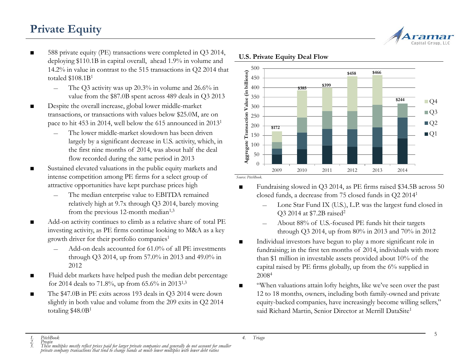## **Private Equity**

- 588 private equity (PE) transactions were completed in Q3 2014, deploying \$110.1B in capital overall, ahead 1.9% in volume and 14.2% in value in contrast to the 515 transactions in Q2 2014 that totaled  $$108.1B<sup>1</sup>$ 
	- The O3 activity was up  $20.3\%$  in volume and  $26.6\%$  in value from the \$87.0B spent across 489 deals in Q3 2013
- Despite the overall increase, global lower middle-market transactions, or transactions with values below \$25.0M, are on pace to hit 453 in 2014, well below the 615 announced in 20131
	- The lower middle-market slowdown has been driven largely by a significant decrease in U.S. activity, which, in the first nine months of 2014, was about half the deal flow recorded during the same period in 2013
- Sustained elevated valuations in the public equity markets and intense competition among PE firms for a select group of attractive opportunities have kept purchase prices high
	- The median enterprise value to EBITDA remained relatively high at 9.7x through Q3 2014, barely moving from the previous 12-month median $1,3$
- Add-on activity continues to climb as a relative share of total PE investing activity, as PE firms continue looking to M&A as a key growth driver for their portfolio companies<sup>1</sup>
	- Add-on deals accounted for 61.0% of all PE investments through Q3 2014, up from 57.0% in 2013 and 49.0% in 2012
- Fluid debt markets have helped push the median debt percentage for 2014 deals to 71.8%, up from 65.6% in 2013<sup>1,3</sup>
- The \$47.0B in PE exits across 193 deals in Q3 2014 were down slightly in both value and volume from the 209 exits in Q2 2014 totaling \$48.0B1

# Capital Group, Ll



### **U.S. Private Equity Deal Flow**

*Source: PitchBook.*

- Fundraising slowed in Q3 2014, as PE firms raised \$34.5B across 50 closed funds, a decrease from 75 closed funds in Q2 20141
	- ― Lone Star Fund IX (U.S.), L.P. was the largest fund closed in Q3 2014 at \$7.2B raised<sup>2</sup>
	- ― About 88% of U.S.-focused PE funds hit their targets through Q3 2014, up from 80% in 2013 and 70% in 2012
- Individual investors have begun to play a more significant role in fundraising; in the first ten months of 2014, individuals with more than \$1 million in investable assets provided about 10% of the capital raised by PE firms globally, up from the 6% supplied in 20084
- "When valuations attain lofty heights, like we've seen over the past 12 to 18 months, owners, including both family-owned and private equity-backed companies, have increasingly become willing sellers," said Richard Martin, Senior Director at Merrill DataSite<sup>1</sup>

5

*<sup>1.</sup> PitchBook*

*<sup>4.</sup> Triago*

*<sup>2.</sup> Preqin 3. These multiples mostly reflect prices paid for larger private companies and generally do not account for smaller private company transactions that tend to change hands at much lower multiples with lower debt ratios*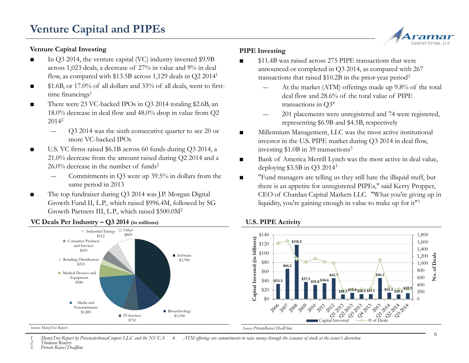### **Venture Capital Investing**

- In Q3 2014, the venture capital (VC) industry invested \$9.9B across 1,023 deals, a decrease of 27% in value and 9% in deal flow, as compared with \$13.5B across 1,129 deals in Q2 20141
- \$1.6B, or 17.0% of all dollars and 33% of all deals, went to firsttime financings<sup>1</sup>
- There were 23 VC-backed IPOs in Q3 2014 totaling \$2.6B, an 18.0% decrease in deal flow and 48.0% drop in value from Q2 20142
	- ― Q3 2014 was the sixth consecutive quarter to see 20 or more VC-backed IPOs
- U.S. VC firms raised \$6.1B across 60 funds during Q3 2014, a 21.0% decrease from the amount raised during Q2 2014 and a  $26.0\%$  decrease in the number of funds<sup>2</sup>
	- Commitments in Q3 were up 39.5% in dollars from the same period in 2013
- The top fundraiser during Q3 2014 was J.P. Morgan Digital Growth Fund II, L.P., which raised \$996.4M, followed by SG Growth Partners III, L.P., which raised \$500.0M2



### **VC Deals Per Industry – Q3 2014 (in millions)**

### **PIPE Investing**

- \$11.4B was raised across 275 PIPE transactions that were announced or completed in Q3 2014, as compared with 267 transactions that raised \$10.2B in the prior-year period3
	- At the market (ATM) offerings made up 9.8% of the total deal flow and 28.6% of the total value of PIPE transactions in Q34
	- ― 201 placements were unregistered and 74 were registered, representing \$6.9B and \$4.5B, respectively
- Millennium Management, LLC was the most active institutional investor in the U.S. PIPE market during Q3 2014 in deal flow, investing \$1.0B in 39 transactions3
- Bank of America Merrill Lynch was the most active in deal value, deploying \$3.5B in Q3 20143
- "Fund managers are telling us they still hate the illiquid stuff, but there is an appetite for unregistered PIPEs," said Kerry Propper, CEO of Chardan Capital Markets LLC. "What you're giving up in liquidity, you're gaining enough in value to make up for it<sup>"3</sup>



### **U.S. PIPE Activity**

*Source: MoneyTree Report. Source: PrivateRaise/DealFlow.*

*1. MoneyTree Report by PricewaterhouseCoopers LLC and the NVCA 4. ATM offerings are commitments to raise money through the issuance of stock at the issuer's discretion*

*2. Thomson Reuters*

*3. Private Raise/Dealflow*

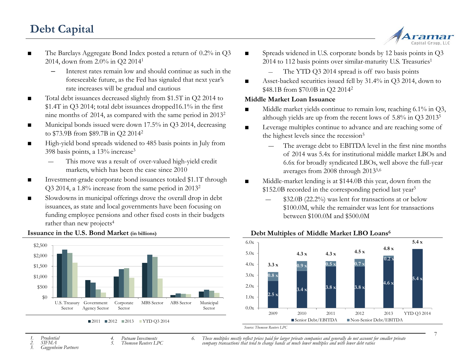## **Debt Capital**



7

- The Barclays Aggregate Bond Index posted a return of 0.2% in Q3 2014, down from 2.0% in Q2 20141
	- Interest rates remain low and should continue as such in the foreseeable future, as the Fed has signaled that next year's rate increases will be gradual and cautious
- Total debt issuances decreased slightly from \$1.5T in Q2 2014 to \$1.4T in Q3 2014; total debt issuances dropped16.1% in the first nine months of 2014, as compared with the same period in 20132
- Municipal bonds issued were down 17.5% in Q3 2014, decreasing to \$73.9B from \$89.7B in Q2 20142
- High-yield bond spreads widened to 485 basis points in July from 398 basis points, a 13% increase3
	- This move was a result of over-valued high-yield credit markets, which has been the case since 2010
- Investment-grade corporate bond issuances totaled \$1.1T through Q3 2014, a 1.8% increase from the same period in 20132
- Slowdowns in municipal offerings drove the overall drop in debt issuances, as state and local governments have been focusing on funding employee pensions and other fixed costs in their budgets rather than new projects<sup>4</sup>



### **Issuance in the U.S. Bond Market (in billions)**

- Spreads widened in U.S. corporate bonds by 12 basis points in O3 2014 to 112 basis points over similar-maturity U.S. Treasuries<sup>1</sup>
	- The YTD Q3 2014 spread is off two basis points
- Asset-backed securities issued fell by 31.4% in Q3 2014, down to \$48.1B from \$70.0B in Q2 20142

### **Middle Market Loan Issuance**

- $\blacksquare$  Middle market yields continue to remain low, reaching 6.1% in O3, although yields are up from the recent lows of 5.8% in Q3 20135
- Leverage multiples continue to advance and are reaching some of the highest levels since the recession<sup>5</sup>
	- The average debt to EBITDA level in the first nine months of 2014 was 5.4x for institutional middle market LBOs and 6.6x for broadly syndicated LBOs, well above the full-year averages from 2008 through 20135,6
- Middle-market lending is at \$144.0B this year, down from the \$152.0B recorded in the corresponding period last year<sup>5</sup>
	- ― \$32.0B (22.2%) was lent for transactions at or below \$100.0M, while the remainder was lent for transactions between \$100.0M and \$500.0M



### **Debt Multiples of Middle Market LBO Loans6**

### *1. Prudential*

- *2. SIFMA*
- *4. Putnam Investments 5. Thomson Reuters LPC*

*6. These multiples mostly reflect prices paid for larger private companies and generally do not account for smaller private company transactions that tend to change hands at much lower multiples and with lower debt ratios*

*3. Guggenheim Partners*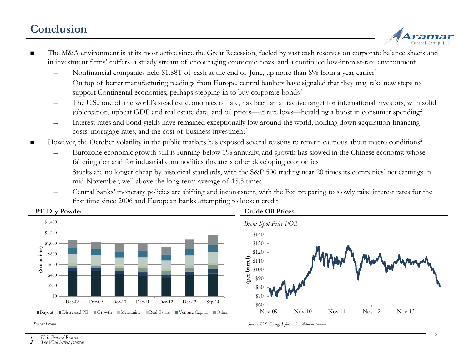### **Conclusion**



- The M&A environment is at its most active since the Great Recession, fueled by vast cash reserves on corporate balance sheets and in investment firms' coffers, a steady stream of encouraging economic news, and a continued low-interest-rate environment
	- Nonfinancial companies held \$1.88T of cash at the end of June, up more than 8% from a year earlier<sup>1</sup>
	- On top of better manufacturing readings from Europe, central bankers have signaled that they may take new steps to support Continental economies, perhaps stepping in to buy corporate bonds<sup>2</sup>
	- The U.S., one of the world's steadiest economies of late, has been an attractive target for international investors, with solid job creation, upbeat GDP and real estate data, and oil prices—at rare lows—heralding a boost in consumer spending<sup>2</sup>
	- Interest rates and bond yields have remained exceptionally low around the world, holding down acquisition financing costs, mortgage rates, and the cost of business investment<sup>2</sup>
- However, the October volatility in the public markets has exposed several reasons to remain cautious about macro conditions<sup>2</sup>
	- Eurozone economic growth still is running below 1% annually, and growth has slowed in the Chinese economy, whose faltering demand for industrial commodities threatens other developing economies
	- ― Stocks are no longer cheap by historical standards, with the S&P 500 trading near 20 times its companies' net earnings in mid-November, well above the long-term average of 15.5 times
	- ― Central banks' monetary policies are shifting and inconsistent, with the Fed preparing to slowly raise interest rates for the first time since 2006 and European banks attempting to loosen credit



### **Crude Oil Prices**

*Source: U.S. Energy Information Administration.*



*Source: Preqin.*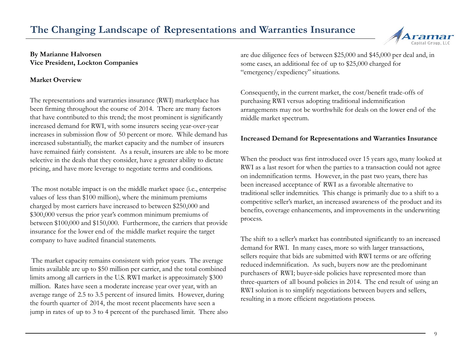### **The Changing Landscape of Representations and Warranties Insurance**



### **Market Overview**

The representations and warranties insurance (RWI) marketplace has been firming throughout the course of 2014. There are many factors that have contributed to this trend; the most prominent is significantly increased demand for RWI, with some insurers seeing year-over-year increases in submission flow of 50 percent or more. While demand has increased substantially, the market capacity and the number of insurers have remained fairly consistent. As a result, insurers are able to be more selective in the deals that they consider, have a greater ability to dictate pricing, and have more leverage to negotiate terms and conditions.

The most notable impact is on the middle market space (i.e., enterprise values of less than \$100 million), where the minimum premiums charged by most carriers have increased to between \$250,000 and \$300,000 versus the prior year's common minimum premiums of between \$100,000 and \$150,000. Furthermore, the carriers that provide insurance for the lower end of the middle market require the target company to have audited financial statements.

The market capacity remains consistent with prior years. The average limits available are up to \$50 million per carrier, and the total combined limits among all carriers in the U.S. RWI market is approximately \$300 million. Rates have seen a moderate increase year over year, with an average range of 2.5 to 3.5 percent of insured limits. However, during the fourth quarter of 2014, the most recent placements have seen a jump in rates of up to 3 to 4 percent of the purchased limit. There also are due diligence fees of between \$25,000 and \$45,000 per deal and, in some cases, an additional fee of up to \$25,000 charged for "emergency/expediency" situations.

Consequently, in the current market, the cost/benefit trade-offs of purchasing RWI versus adopting traditional indemnification arrangements may not be worthwhile for deals on the lower end of the middle market spectrum.

### **Increased Demand for Representations and Warranties Insurance**

When the product was first introduced over 15 years ago, many looked at RWI as a last resort for when the parties to a transaction could not agree on indemnification terms. However, in the past two years, there has been increased acceptance of RWI as a favorable alternative to traditional seller indemnities. This change is primarily due to a shift to a competitive seller's market, an increased awareness of the product and its benefits, coverage enhancements, and improvements in the underwriting process.

The shift to a seller's market has contributed significantly to an increased demand for RWI. In many cases, more so with larger transactions, sellers require that bids are submitted with RWI terms or are offering reduced indemnification. As such, buyers now are the predominant purchasers of RWI; buyer-side policies have represented more than three-quarters of all bound policies in 2014. The end result of using an RWI solution is to simplify negotiations between buyers and sellers, resulting in a more efficient negotiations process.

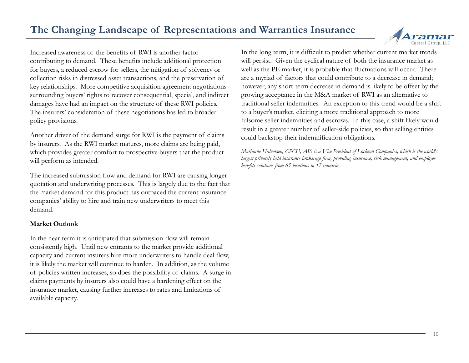### **The Changing Landscape of Representations and Warranties Insurance**

Increased awareness of the benefits of RWI is another factor contributing to demand. These benefits include additional protection for buyers, a reduced escrow for sellers, the mitigation of solvency or collection risks in distressed asset transactions, and the preservation of key relationships. More competitive acquisition agreement negotiations surrounding buyers' rights to recover consequential, special, and indirect damages have had an impact on the structure of these RWI policies. The insurers' consideration of these negotiations has led to broader policy provisions.

Another driver of the demand surge for RWI is the payment of claims by insurers. As the RWI market matures, more claims are being paid, which provides greater comfort to prospective buyers that the product will perform as intended.

The increased submission flow and demand for RWI are causing longer quotation and underwriting processes. This is largely due to the fact that the market demand for this product has outpaced the current insurance companies' ability to hire and train new underwriters to meet this demand.

### **Market Outlook**

In the near term it is anticipated that submission flow will remain consistently high. Until new entrants to the market provide additional capacity and current insurers hire more underwriters to handle deal flow, it is likely the market will continue to harden. In addition, as the volume of policies written increases, so does the possibility of claims. A surge in claims payments by insurers also could have a hardening effect on the insurance market, causing further increases to rates and limitations of available capacity.

In the long term, it is difficult to predict whether current market trends will persist. Given the cyclical nature of both the insurance market as well as the PE market, it is probable that fluctuations will occur. There are a myriad of factors that could contribute to a decrease in demand; however, any short-term decrease in demand is likely to be offset by the growing acceptance in the M&A market of RWI as an alternative to traditional seller indemnities. An exception to this trend would be a shift to a buyer's market, eliciting a more traditional approach to more fulsome seller indemnities and escrows. In this case, a shift likely would result in a greater number of seller-side policies, so that selling entities could backstop their indemnification obligations.

*Marianne Halvorsen, CPCU, AIS is a Vice President of Lockton Companies, which is the world's largest privately held insurance brokerage firm, providing insurance, risk management, and employee benefits solutions from 65 locations in 17 countries.*